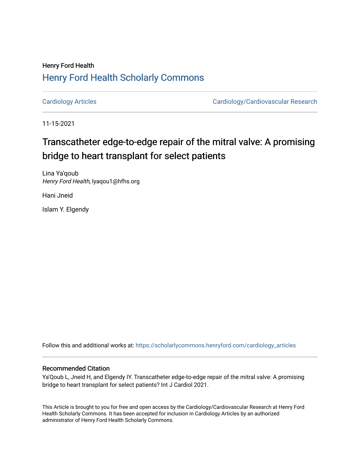## Henry Ford Health [Henry Ford Health Scholarly Commons](https://scholarlycommons.henryford.com/)

[Cardiology Articles](https://scholarlycommons.henryford.com/cardiology_articles) [Cardiology/Cardiovascular Research](https://scholarlycommons.henryford.com/cardiology) 

11-15-2021

# Transcatheter edge-to-edge repair of the mitral valve: A promising bridge to heart transplant for select patients

Lina Ya'qoub Henry Ford Health, lyaqou1@hfhs.org

Hani Jneid

Islam Y. Elgendy

Follow this and additional works at: [https://scholarlycommons.henryford.com/cardiology\\_articles](https://scholarlycommons.henryford.com/cardiology_articles?utm_source=scholarlycommons.henryford.com%2Fcardiology_articles%2F810&utm_medium=PDF&utm_campaign=PDFCoverPages)

### Recommended Citation

Ya'Qoub L, Jneid H, and Elgendy IY. Transcatheter edge-to-edge repair of the mitral valve: A promising bridge to heart transplant for select patients? Int J Cardiol 2021.

This Article is brought to you for free and open access by the Cardiology/Cardiovascular Research at Henry Ford Health Scholarly Commons. It has been accepted for inclusion in Cardiology Articles by an authorized administrator of Henry Ford Health Scholarly Commons.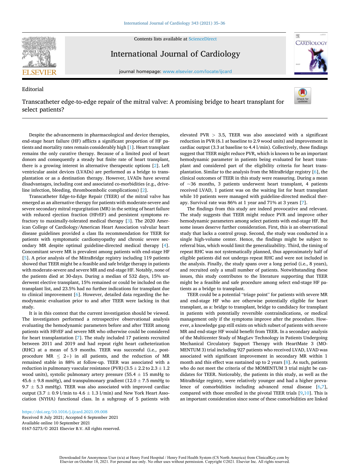Contents lists available at [ScienceDirect](www.sciencedirect.com/science/journal/01675273)



Editorial

International Journal of Cardiology

journal homepage: [www.elsevier.com/locate/ijcard](https://www.elsevier.com/locate/ijcard) 



## Transcatheter edge-to-edge repair of the mitral valve: A promising bridge to heart transplant for select patients?



Despite the advancements in pharmacological and device therapies, end-stage heart failure (HF) afflicts a significant proportion of HF patients and mortality rates remain considerably high [[1](#page-2-0)]. Heart transplant remains the only curative therapy. Because of a limited pool of heart donors and consequently a steady but finite rate of heart transplant, there is a growing interest in alternative therapeutic options [\[2\]](#page-2-0). Left ventricular assist devices (LVADs) are performed as a bridge to transplantation or as a destination therapy. However, LVADs have several disadvantages, including cost and associated co-morbidities (e.g., driveline infection, bleeding, thromboembolic complications) [\[2\]](#page-2-0).

Transcatheter Edge-to-Edge Repair (TEER) of the mitral valve has emerged as an alternative therapy for patients with moderate-severe and severe secondary mitral regurgitation (MR) in the setting of heart failure with reduced ejection fraction (HFrEF) and persistent symptoms refractory to maximally-tolerated medical therapy [[3](#page-2-0)]. The 2020 American College of Cardiology/American Heart Association valvular heart disease guidelines provided a class IIa recommendation for TEER for patients with symptomatic cardiomyopathy and chronic severe secondary MR despite optimal guideline-directed medical therapy [[4](#page-2-0)]. Concomitant severe MR is prevalent among patients with end-stage HF [[5](#page-2-0)]. A prior analysis of the MitraBridge registry including 119 patients showed that TEER might be a feasible and safe bridge therapy in patients with moderate-severe and severe MR and end-stage HF. Notably, none of the patients died at 30-days. During a median of 532 days, 15% underwent elective transplant, 15% remained or could be included on the transplant list, and 23.5% had no further indications for transplant due to clinical improvement [[6](#page-2-0)]. However, detailed data regarding the hemodynamic evaluation prior to and after TEER were lacking in that study.

It is in this context that the current investigation should be viewed. The investigators performed a retrospective observational analysis evaluating the hemodynamic parameters before and after TEER among patients with HFrEF and severe MR who otherwise could be considered for heart transplantation [\[7\]](#page-2-0). The study included 17 patients recruited between 2011 and 2019 and had repeat right heart catheterization (RHC) at a mean of 5.9 months. TEER was successful (i.e., postprocedure MR  $\leq$  2+) in all patients, and the reduction of MR remained stable in 88% at follow-up. TEER was associated with a reduction in pulmonary vascular resistance (PVR) (3.5  $\pm$  2.2 to 2.3  $\pm$  1.2 wood units), systolic pulmonary artery pressure (55.4  $\pm$  15 mmHg to 45.6  $\pm$  9.8 mmHg), and transpulmonary gradient (12.0  $\pm$  7.5 mmHg to  $9.7 \pm 5.3$  mmHg). TEER was also associated with improved cardiac output (3.7  $\pm$  0.9 l/min to 4.6  $\pm$  1.3 l/min) and New York Heart Association (NYHA) functional class. In a subgroup of 5 patients with elevated PVR *>* 3.5, TEER was also associated with a significant reduction in PVR (6.1 at baseline to 2.9 wood units) and improvement in cardiac output (3.3 at baseline to 4.4 l/min). Collectively, these findings suggest that TEER might reduce PVR, which is known to be an important hemodynamic parameter in patients being evaluated for heart transplant and considered part of the eligibility criteria for heart transplantation. Similar to the analysis from the MitraBridge registry [\[6\]](#page-2-0), the clinical outcomes of TEER in this study were reassuring. During a mean of  $\sim$ 36 months, 3 patients underwent heart transplant, 4 patients received LVAD, 1 patient was on the waiting list for heart transplant while 10 patients were managed with guideline-directed medical therapy. Survival rate was 86% at 1 year and 71% at 3 years [\[7\]](#page-2-0).

The findings from this study are indeed provocative and relevant. The study suggests that TEER might reduce PVR and improve other hemodynamic parameters among select patients with end-stage HF. But some issues deserve further consideration. First, this is an observational study that lacks a control group. Second, the study was conducted in a single high-volume center. Hence, the findings might be subject to referral bias, which would limit the generalizability. Third, the timing of repeat RHC was not systematically planned, thus approximately half of eligible patients did not undergo repeat RHC and were not included in the analysis. Finally, the study spans over a long period (i.e., 8 years), and recruited only a small number of patients. Notwithstanding these issues, this study contributes to the literature supporting that TEER might be a feasible and safe procedure among select end-stage HF patients as a bridge to transplant.

TEER could be a potential "triage point" for patients with severe MR and end-stage HF who are otherwise potentially eligible for heart transplant, as a: bridge to transplant, bridge to candidacy for transplant in patients with potentially reversible contraindications, or medical management only if the symptoms improve after the procedure. However, a knowledge gap still exists on which subset of patients with severe MR and end-stage HF would benefit from TEER. In a secondary analysis of the Multicenter Study of MagLev Technology in Patients Undergoing Mechanical Circulatory Support Therapy with HeartMate 3 (MO-MENTUM 3) trial including 927 patients who received LVAD, LVAD was associated with significant improvement in secondary MR within 1 month and this effect was sustained up to 2 years [\[8\]](#page-2-0). As such, patients who do not meet the criteria of the MOMENTUM 3 trial might be candidates for TEER. Noticeably, the patients in this study, as well as the MitraBridge registry, were relatively younger and had a higher prevalence of comorbidities including advanced renal disease [[6](#page-2-0),[7](#page-2-0)], compared with those enrolled in the pivotal TEER trials [[9](#page-2-0),[10\]](#page-2-0). This is an important consideration since some of these comorbidities are linked

Available online 10 September 2021 0167-5273/© 2021 Elsevier B.V. All rights reserved. <https://doi.org/10.1016/j.ijcard.2021.09.008> Received 8 July 2021; Accepted 6 September 2021